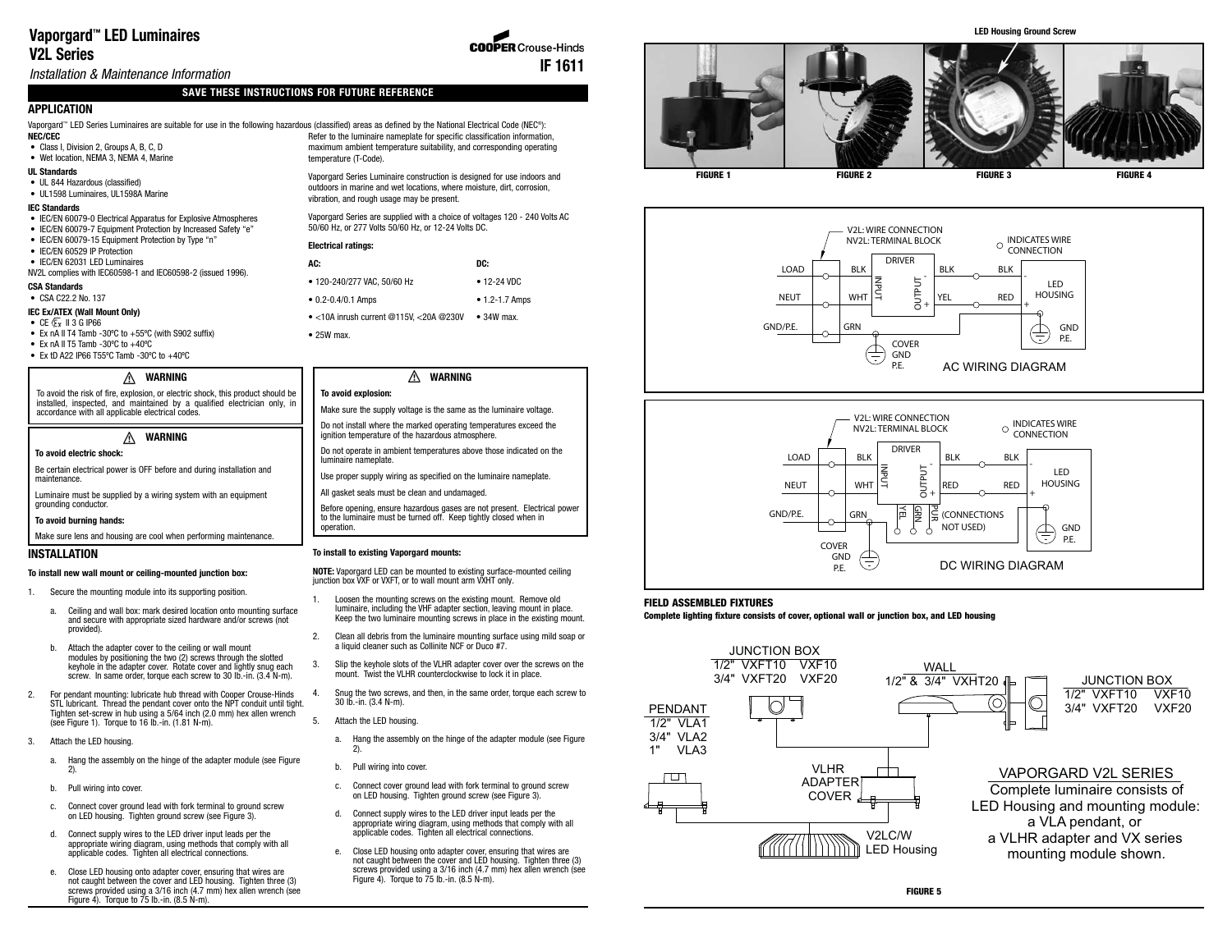# **Vaporgard™ LED Luminaires V2L Series**

Installation & Maintenance Information

# **SAVE THESE INSTRUCTIONS FOR FUTURE REFERENCE**

# **APPLICATION**

**NEC/CEC** Vaporgard™ LED Series Luminaires are suitable for use in the following hazardous (classified) areas as defined by the National Electrical Code (NEC®):

#### • Class I, Division 2, Groups A, B, C, D • Wet location, NEMA 3, NEMA 4, Marine

- **UL Standards**
- UL 844 Hazardous (classified)
- UL1598 Luminaires, UL1598A Marine

### **IEC Standards**

- IEC/EN 60079-0 Electrical Apparatus for Explosive Atmospheres
- IEC/EN 60079-7 Equipment Protection by Increased Safety "e"
- IEC/EN 60079-15 Equipment Protection by Type "n"
- IEC/EN 60529 IP Protection
- IEC/EN 62031 LED Luminaires NV2L complies with IEC60598-1 and IEC60598-2 (issued 1996).

## **CSA Standards**

• CSA C22.2 No. 137

## **IEC Ex/ATEX (Wall Mount Only)**

- $\bullet$  CE  $\overline{\mathbb{G}_x}$  II 3 G IP66
- Ex nA II T4 Tamb -30ºC to +55ºC (with S902 suffix) • Ex nA II T5 Tamb -30 $^{\circ}$ C to +40 $^{\circ}$ C
- Ex tD A22 IP66 T55ºC Tamb -30ºC to +40ºC

#### A **WARNING**

To avoid the risk of fire, explosion, or electric shock, this product should be installed, inspected, and maintained by a qualified electrician only, in accordance with all applicable electrical codes.

#### **WARNING** ⚠

#### **To avoid electric shock:**

Be certain electrical power is OFF before and during installation and maintenance.

Luminaire must be supplied by a wiring system with an equipment grounding conductor.

#### **To avoid burning hands:**

Make sure lens and housing are cool when performing maintenance.

## **INSTALLATION**

#### **To install new wall mount or ceiling-mounted junction box:**

- 1. Secure the mounting module into its supporting position.
	- a. Ceiling and wall box: mark desired location onto mounting surface and secure with appropriate sized hardware and/or screws (not provided).
	- b. Attach the adapter cover to the ceiling or wall mount modules by positioning the two (2) screws through the slotted keyhole in the adapter cover. Rotate cover and lightly snug each screw. In same order, torque each screw to 30 lb.-in. (3.4 N-m).
- 2. For pendant mounting: lubricate hub thread with Cooper Crouse-Hinds STL lubricant. Thread the pendant cover onto the NPT conduit until tight. Tighten set-screw in hub using a 5/64 inch (2.0 mm) hex allen wrench (see Figure 1). Torque to 16 lb.-in. (1.81 N-m).
- 3. Attach the LED housing.
	- a. Hang the assembly on the hinge of the adapter module (see Figure 2).
	- b. Pull wiring into cover.
	- c. Connect cover ground lead with fork terminal to ground screw on LED housing. Tighten ground screw (see Figure 3).
	- d. Connect supply wires to the LED driver input leads per the appropriate wiring diagram, using methods that comply with all applicable codes. Tighten all electrical connections.
	- e. Close LED housing onto adapter cover, ensuring that wires are not caught between the cover and LED housing. Tighten three (3) screws provided using a 3/16 inch (4.7 mm) hex allen wrench (see Figure 4). Torque to  $75$  lb.-in.  $(8.5$  N-m).

Refer to the luminaire nameplate for specific classification information, maximum ambient temperature suitability, and corresponding operating temperature (T-Code).

**IF 1611**

**COOPER** Crouse-Hinds

Vaporgard Series Luminaire construction is designed for use indoors and outdoors in marine and wet locations, where moisture, dirt, corrosion, vibration, and rough usage may be present.

Vaporgard Series are supplied with a choice of voltages 120 - 240 Volts AC 50/60 Hz, or 277 Volts 50/60 Hz, or 12-24 Volts DC.

#### **Electrical ratings:**

| AC:                                             | DC:                |
|-------------------------------------------------|--------------------|
| • 120-240/277 VAC, 50/60 Hz                     | $• 12 - 24 VDC$    |
| $\bullet$ 0.2-0.4/0.1 Amps                      | $• 1.2 - 1.7$ Amps |
| $\bullet$ <10A inrush current @115V, <20A @230V | $\bullet$ 34W max. |
| $\bullet$ 25W max.                              |                    |

#### Λ **WARNING**

## **To avoid explosion:**

- Make sure the supply voltage is the same as the luminaire voltage. Do not install where the marked operating temperatures exceed the
- ignition temperature of the hazardous atmosphere.
- Do not operate in ambient temperatures above those indicated on the luminaire nameplate. Use proper supply wiring as specified on the luminaire nameplate.
- All gasket seals must be clean and undamaged.
- Before opening, ensure hazardous gases are not present. Electrical power

to the luminaire must be turned off. Keep tightly closed when in operation.

## **To install to existing Vaporgard mounts:**

**NOTE:** Vaporgard LED can be mounted to existing surface-mounted ceiling junction box VXF or VXFT, or to wall mount arm VXHT only.

- 1. Loosen the mounting screws on the existing mount. Remove old luminaire, including the VHF adapter section, leaving mount in place. Keep the two luminaire mounting screws in place in the existing mount.
- 2. Clean all debris from the luminaire mounting surface using mild soap or a liquid cleaner such as Collinite NCF or Duco #7.
- 3. Slip the keyhole slots of the VLHR adapter cover over the screws on the mount. Twist the VLHR counterclockwise to lock it in place.
- 4. Snug the two screws, and then, in the same order, torque each screw to 30 lb.-in. (3.4 N-m).
- 5. Attach the LED housing.
	- a. Hang the assembly on the hinge of the adapter module (see Figure 2).
	- b. Pull wiring into cover.
	- c. Connect cover ground lead with fork terminal to ground screw on LED housing. Tighten ground screw (see Figure 3).
	- d. Connect supply wires to the LED driver input leads per the appropriate wiring diagram, using methods that comply with all applicable codes. Tighten all electrical connections.
	- e. Close LED housing onto adapter cover, ensuring that wires are not caught between the cover and LED housing. Tighten three (3) screws provided using a 3/16 inch (4.7 mm) hex allen wrench (see Figure 4). Torque to  $75$  lb.-in.  $(8.5$  N-m).







#### **FIELD ASSEMBLED FIXTURES**

#### **Complete lighting fixture consists of cover, optional wall or junction box, and LED housing**



**LED Housing Ground Screw**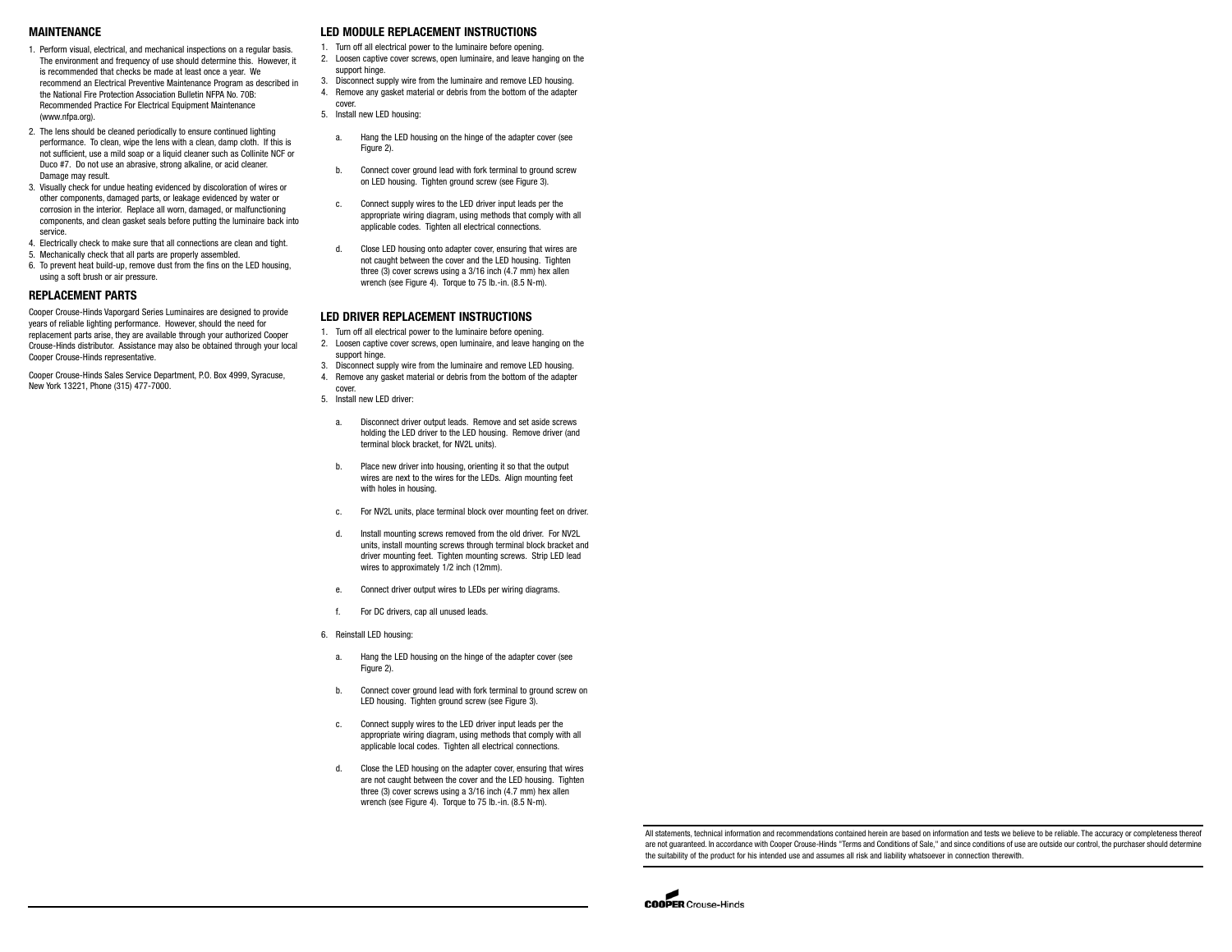#### **MAINTENANCE**

- 1. Perform visual, electrical, and mechanical inspections on a regular basis. The environment and frequency of use should determine this. However, it is recommended that checks be made at least once a year. We recommend an Electrical Preventive Maintenance Program as described in the National Fire Protection Association Bulletin NFPA No. 70B: Recommended Practice For Electrical Equipment Maintenance (www.nfpa.org)
- 2. The lens should be cleaned periodically to ensure continued lighting performance. To clean, wipe the lens with a clean, damp cloth. If this is not sufficient, use a mild soap or a liquid cleaner such as Collinite NCF or Duco #7. Do not use an abrasive, strong alkaline, or acid cleaner. Damage may result
- 3. Visually check for undue heating evidenced by discoloration of wires or other components, damaged parts, or leakage evidenced by water or corrosion in the interior. Replace all worn, damaged, or malfunctioning components, and clean gasket seals before putting the luminaire back into service.
- 4. Electrically check to make sure that all connections are clean and tight.
- 5. Mechanically check that all parts are properly assembled. 6. To prevent heat build-up, remove dust from the fins on the LED housing, using a soft brush or air pressure.

## **REPLACEMENT PARTS**

Cooper Crouse-Hinds Vaporgard Series Luminaires are designed to provide years of reliable lighting performance. However, should the need for replacement parts arise, they are available through your authorized Cooper Crouse-Hinds distributor. Assistance may also be obtained through your local Cooper Crouse-Hinds representative.

Cooper Crouse-Hinds Sales Service Department, P.O. Box 4999, Syracuse, New York 13221, Phone (315) 477-7000.

## **LED MODULE REPLACEMENT INSTRUCTIONS**

- 1. Turn off all electrical power to the luminaire before opening.
- 2. Loosen captive cover screws, open luminaire, and leave hanging on the support hinge.
- 3. Disconnect supply wire from the luminaire and remove LED housing.
- 4. Remove any gasket material or debris from the bottom of the adapter cover.
- 5. Install new LED housing:
- a. Hang the LED housing on the hinge of the adapter cover (see Figure 2).
	- b. Connect cover ground lead with fork terminal to ground screw on LED housing. Tighten ground screw (see Figure 3).
	- c. Connect supply wires to the LED driver input leads per the appropriate wiring diagram, using methods that comply with all applicable codes. Tighten all electrical connections.
	- d. Close LED housing onto adapter cover, ensuring that wires are not caught between the cover and the LED housing. Tighten three (3) cover screws using a 3/16 inch (4.7 mm) hex allen wrench (see Figure 4). Torque to 75 lb.-in. (8.5 N-m).

## **LED DRIVER REPLACEMENT INSTRUCTIONS**

- 1. Turn off all electrical power to the luminaire before opening.
- 2. Loosen captive cover screws, open luminaire, and leave hanging on the support hinge.
- 3. Disconnect supply wire from the luminaire and remove LED housing. 4. Remove any gasket material or debris from the bottom of the adapter cover.
- 5. Install new LED driver:
	- a. Disconnect driver output leads. Remove and set aside screws holding the LED driver to the LED housing. Remove driver (and terminal block bracket, for NV2L units).
	- b. Place new driver into housing, orienting it so that the output wires are next to the wires for the LEDs. Align mounting feet with holes in housing.
	- c. For NV2L units, place terminal block over mounting feet on driver.
	- d. Install mounting screws removed from the old driver. For NV2L units, install mounting screws through terminal block bracket and driver mounting feet. Tighten mounting screws. Strip LED lead wires to approximately 1/2 inch (12mm).
	- e. Connect driver output wires to LEDs per wiring diagrams.
	- For DC drivers, cap all unused leads.
- 6. Reinstall LED housing:
	- a. Hang the LED housing on the hinge of the adapter cover (see Figure 2).
	- b. Connect cover ground lead with fork terminal to ground screw on LED housing. Tighten ground screw (see Figure 3).
	- c. Connect supply wires to the LED driver input leads per the appropriate wiring diagram, using methods that comply with all applicable local codes. Tighten all electrical connections.
	- d. Close the LED housing on the adapter cover, ensuring that wires are not caught between the cover and the LED housing. Tighten three (3) cover screws using a 3/16 inch (4.7 mm) hex allen wrench (see Figure 4). Torque to 75 lb.-in. (8.5 N-m).

All statements, technical information and recommendations contained herein are based on information and tests we believe to be reliable. The accuracy or completeness thereof are not guaranteed. In accordance with Cooper Crouse-Hinds "Terms and Conditions of Sale," and since conditions of use are outside our control, the purchaser should determine the suitability of the product for his intended use and assumes all risk and liability whatsoever in connection therewith.

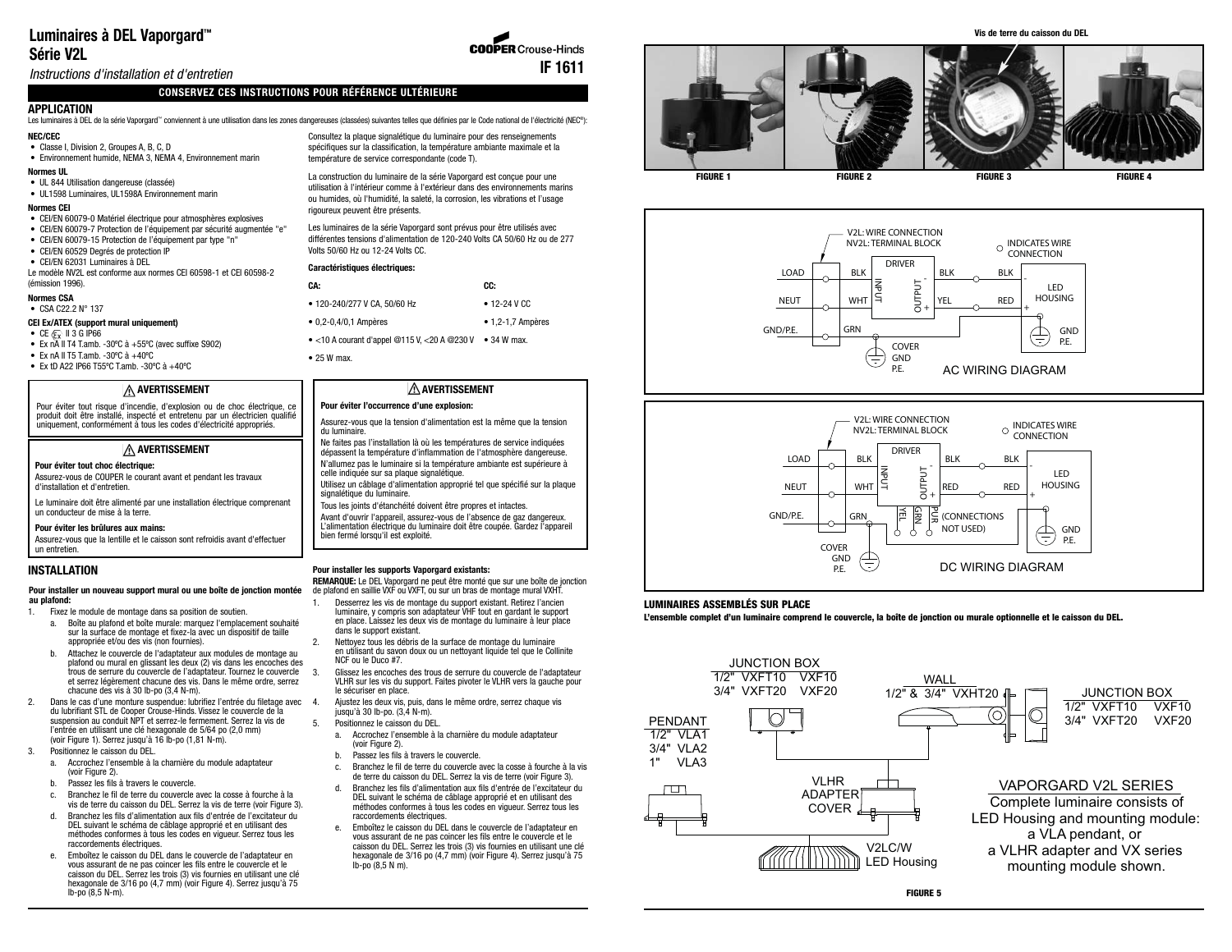# **Luminaires à DEL Vaporgard ™ Série V2L**

**COOPER Crouse-Hinds IF 1611**

# Instructions d'installation et d'entretien

# **CONSERVEZ CES INSTRUCTIONS POUR RÉFÉRENCE ULTÉRIEURE**

## **APPLICATION**

Les luminaires à DEL de la série Vaporgard™ conviennent à une utilisation dans les zones dangereuses (classées) suivantes telles que définies par le Code national de l'électricité (NEC®):

## **NEC/CEC**

• Classe I, Division 2, Groupes A, B, C, D • Environnement humide, NEMA 3, NEMA 4, Environnement marin

## **Normes UL**

• UL 844 Utilisation dangereuse (classée) • UL1598 Luminaires, UL1598A Environnement marin

#### **Normes CEI**

- CEI/EN 60079-0 Matériel électrique pour atmosphères explosives
- CEI/EN 60079-7 Protection de l'équipement par sécurité augmentée "e"
- CEI/EN 60079-15 Protection de l'équipement par type "n"
- CEI/EN 60529 Degrés de protection IP
- CEI/EN 62031 Luminaires à DEL Le modèle NV2L est conforme aux normes CEI 60598-1 et CEI 60598-2 (émission 1996).

## **Normes CSA**

• CSA C22.2 N° 137

#### **CEI Ex/ATEX (support mural uniquement)**

- CE  $\overline{\mathbb{E}_x}$  II 3 G IP66
- Ex n $\overline{A}$  II T4 T.amb. -30°C à +55°C (avec suffixe S902)
- Ex nA II T5 T.amb. -30ºC à +40ºC
- $\bullet$  Fx tD A22 IP66 T55°C T amb. -30°C à +40°C

# **AVERTISSEMENT**

Pour éviter tout risque d'incendie, d'explosion ou de choc électrique, ce produit doit être installé, inspecté et entretenu par un électricien qualifié uniquement, conformément à tous les codes d'électricité appropriés.

### **AVERTISSEMENT**

#### **Pour éviter tout choc électrique:**

Assurez-vous de COUPER le courant avant et pendant les travaux d'installation et d'entretien.

Le luminaire doit être alimenté par une installation électrique comprenant un conducteur de mise à la terre.

#### **Pour éviter les brûlures aux mains:**

Assurez-vous que la lentille et le caisson sont refroidis avant d'effectuer un entretien.

## **INSTALLATION**

#### **Pour installer un nouveau support mural ou une boîte de jonction montée au plafond:**

- 1. Fixez le module de montage dans sa position de soutien.
	- a. Boîte au plafond et boîte murale: marquez l'emplacement souhaité sur la surface de montage et fixez-la avec un dispositif de taille appropriée et/ou des vis (non fournies).
	- b. Attachez le couvercle de l'adaptateur aux modules de montage au plafond ou mural en glissant les deux (2) vis dans les encoches des trous de serrure du couvercle de l'adaptateur. Tournez le couvercle et serrez légèrement chacune des vis. Dans le même ordre, serrez chacune des vis à 30 lb-po (3,4 N-m).
- 2. Dans le cas d'une monture suspendue: lubrifiez l'entrée du filetage avec 4. du lubrifiant STL de Cooper Crouse-Hinds. Vissez le couvercle de la suspension au conduit NPT et serrez-le fermement. Serrez la vis de l'entrée en utilisant une clé hexagonale de 5/64 po (2,0 mm) (voir Figure 1). Serrez jusqu'à 16 lb-po (1,81 N-m).
- 3. Positionnez le caisson du DEL.
	- a. Accrochez l'ensemble à la charnière du module adaptateur (voir Figure 2).
	- b. Passez les fils à travers le couvercle.
	- c. Branchez le fil de terre du couvercle avec la cosse à fourche à la vis de terre du caisson du DEL. Serrez la vis de terre (voir Figure 3).
	- d. Branchez les fils d'alimentation aux fils d'entrée de l'excitateur du DEL suivant le schéma de câblage approprié et en utilisant des méthodes conformes à tous les codes en vigueur. Serrez tous les raccordements électriques.
	- e. Emboîtez le caisson du DEL dans le couvercle de l'adaptateur en vous assurant de ne pas coincer les fils entre le couvercle et le caisson du DEL. Serrez les trois (3) vis fournies en utilisant une clé hexagonale de 3/16 po (4,7 mm) (voir Figure 4). Serrez jusqu'à 75 lb-po (8,5 N-m).

Consultez la plaque signalétique du luminaire pour des renseignements spécifiques sur la classification, la température ambiante maximale et la température de service correspondante (code T).

La construction du luminaire de la série Vaporgard est conçue pour une utilisation à l'intérieur comme à l'extérieur dans des environnements marins ou humides, où l'humidité, la saleté, la corrosion, les vibrations et l'usage rigoureux peuvent être présents.

Les luminaires de la série Vaporgard sont prévus pour être utilisés avec différentes tensions d'alimentation de 120-240 Volts CA 50/60 Hz ou de 277 Volts 50/60 Hz ou 12-24 Volts CC.

#### **Caractéristiques électriques:**

| CA:                                                 | CC:                       |
|-----------------------------------------------------|---------------------------|
| • 120-240/277 V CA, 50/60 Hz                        | $\bullet$ 12-24 V CC      |
| $\bullet$ 0,2-0,4/0,1 Ampères                       | $\bullet$ 1,2-1,7 Ampères |
| $\bullet$ <10 A courant d'annel @115 V <20 A @230 V | $\bullet$ 34 W max        |

• 25 W max.

## **AVERTISSEMENT**

## **Pour éviter l'occurrence d'une explosion:**

- Assurez-vous que la tension d'alimentation est la même que la tension du luminaire.
- Ne faites pas l'installation là où les températures de service indiquées dépassent la température d'inflammation de l'atmosphère dangereuse. N'allumez pas le luminaire si la température ambiante est supérieure à celle indiquée sur sa plaque signalétique.
- Utilisez un câblage d'alimentation approprié tel que spécifié sur la plaque signalétique du luminaire.
- Tous les joints d'étanchéité doivent être propres et intactes.

Avant d'ouvrir l'appareil, assurez-vous de l'absence de gaz dangereux. L'alimentation électrique du luminaire doit être coupée. Gardez l'appareil bien fermé lorsqu'il est exploité.

#### **Pour installer les supports Vaporgard existants:**

**REMARQUE:** Le DEL Vaporgard ne peut être monté que sur une boîte de jonction de plafond en saillie VXF ou VXFT, ou sur un bras de montage mural VXHT.

- 1. Desserrez les vis de montage du support existant. Retirez l'ancien luminaire, y compris son adaptateur VHF tout en gardant le support en place. Laissez les deux vis de montage du luminaire à leur place dans le support existant.
- 2. Nettoyez tous les débris de la surface de montage du luminaire en utilisant du savon doux ou un nettoyant liquide tel que le Collinite NCF ou le Duco #7.
- 3. Glissez les encoches des trous de serrure du couvercle de l'adaptateur VLHR sur les vis du support. Faites pivoter le VLHR vers la gauche pour le sécuriser en place.
- 4. Ajustez les deux vis, puis, dans le même ordre, serrez chaque vis jusqu'à 30 lb-po. (3,4 N-m).
	- 5. Positionnez le caisson du DEL.
	- a. Accrochez l'ensemble à la charnière du module adaptateur (voir Figure 2).
	- b. Passez les fils à travers le couvercle.
	- c. Branchez le fil de terre du couvercle avec la cosse à fourche à la vis de terre du caisson du DEL. Serrez la vis de terre (voir Figure 3).
	- d. Branchez les fils d'alimentation aux fils d'entrée de l'excitateur du DEL suivant le schéma de câblage approprié et en utilisant des méthodes conformes à tous les codes en vigueur. Serrez tous les raccordements électriques.
	- e. Emboîtez le caisson du DEL dans le couvercle de l'adaptateur en vous assurant de ne pas coincer les fils entre le couvercle et le caisson du DEL. Serrez les trois (3) vis fournies en utilisant une clé hexagonale de 3/16 po (4,7 mm) (voir Figure 4). Serrez jusqu'à 75 lb-po (8,5 N m).



**Vis de terre du caisson du DEL**







## **LUMINAIRES ASSEMBLÉS SUR PLACE**

**L'ensemble complet d'un luminaire comprend le couvercle, la boîte de jonction ou murale optionnelle et le caisson du DEL.**

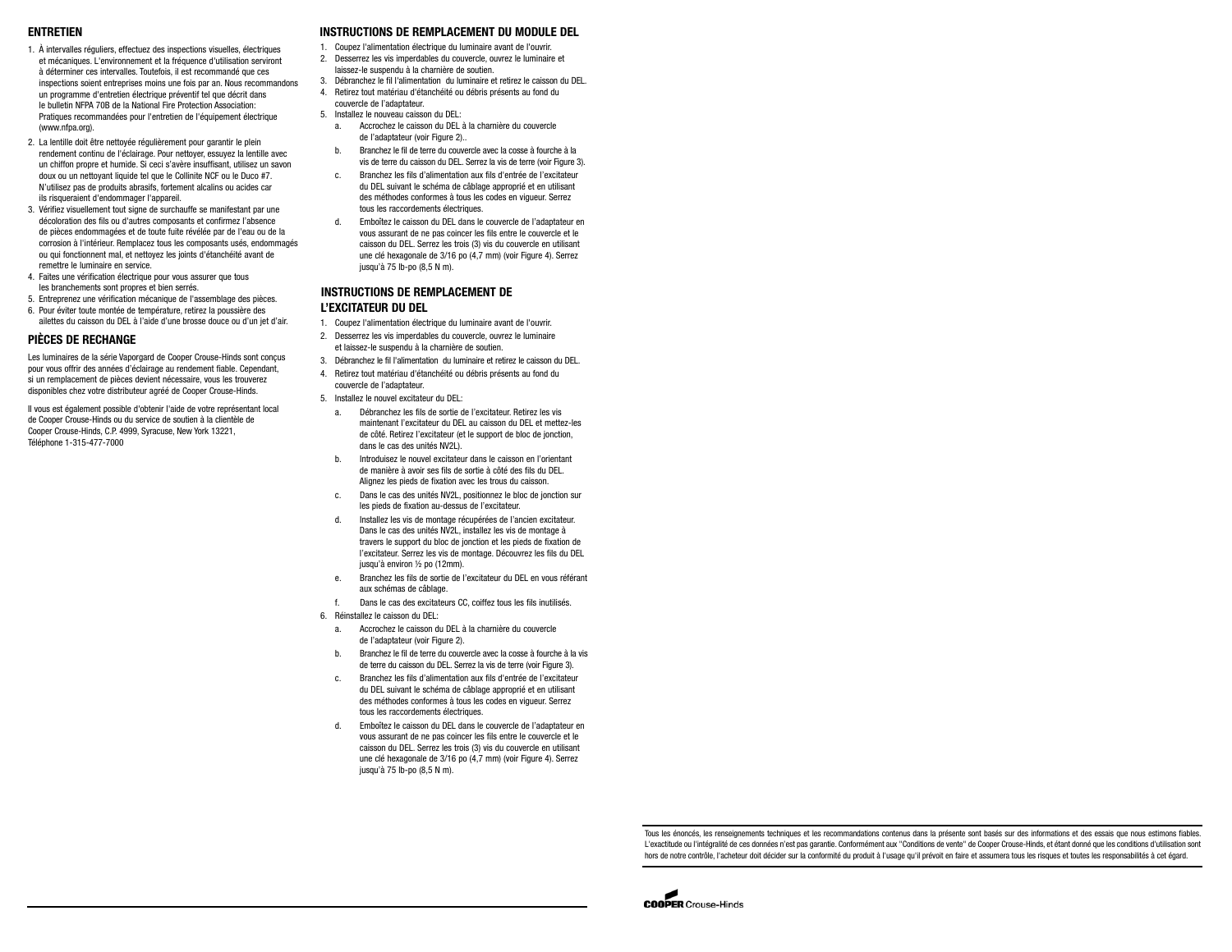#### **ENTRETIEN**

- 1. À intervalles réguliers, effectuez des inspections visuelles, électriques et mécaniques. L'environnement et la fréquence d'utilisation serviront à déterminer ces intervalles. Toutefois, il est recommandé que ces inspections soient entreprises moins une fois par an. Nous recommandons un programme d'entretien électrique préventif tel que décrit dans le bulletin NFPA 70B de la National Fire Protection Association: Pratiques recommandées pour l'entretien de l'équipement électrique (www.nfpa.org).
- 2. La lentille doit être nettoyée régulièrement pour garantir le plein rendement continu de l'éclairage. Pour nettoyer, essuyez la lentille avec un chiffon propre et humide. Si ceci s'avère insuffisant, utilisez un savon doux ou un nettoyant liquide tel que le Collinite NCF ou le Duco #7. N'utilisez pas de produits abrasifs, fortement alcalins ou acides car ils risqueraient d'endommager l'appareil.
- 3. Vérifiez visuellement tout signe de surchauffe se manifestant par une décoloration des fils ou d'autres composants et confirmez l'absence de pièces endommagées et de toute fuite révélée par de l'eau ou de la corrosion à l'intérieur. Remplacez tous les composants usés, endommagés ou qui fonctionnent mal, et nettoyez les joints d'étanchéité avant de remettre le luminaire en service.
- 4. Faites une vérification électrique pour vous assurer que tous les branchements sont propres et bien serrés.
- 5. Entreprenez une vérification mécanique de l'assemblage des pièces.
- 6. Pour éviter toute montée de température, retirez la poussière des ailettes du caisson du DEL à l'aide d'une brosse douce ou d'un jet d'air.

## **PIÈCES DE RECHANGE**

Les luminaires de la série Vaporgard de Cooper Crouse-Hinds sont conçus pour vous offrir des années d'éclairage au rendement fiable. Cependant, si un remplacement de pièces devient nécessaire, vous les trouverez disponibles chez votre distributeur agréé de Cooper Crouse-Hinds.

Il vous est également possible d'obtenir l'aide de votre représentant local de Cooper Crouse-Hinds ou du service de soutien à la clientèle de Cooper Crouse-Hinds, C.P. 4999, Syracuse, New York 13221, Téléphone 1-315-477-7000

## **INSTRUCTIONS DE REMPLACEMENT DU MODULE DEL**

- 1. Coupez l'alimentation électrique du luminaire avant de l'ouvrir.
- 2. Desserrez les vis imperdables du couvercle, ouvrez le luminaire et laissez-le suspendu à la charnière de soutien.
- 3. Débranchez le fil l'alimentation du luminaire et retirez le caisson du DEL. 4. Retirez tout matériau d'étanchéité ou débris présents au fond du
- couvercle de l'adaptateur.
- 5. Installez le nouveau caisson du DEL:
- a. Accrochez le caisson du DEL à la charnière du couvercle de l'adaptateur (voir Figure 2)..
	- b. Branchez le fil de terre du couvercle avec la cosse à fourche à la vis de terre du caisson du DEL. Serrez la vis de terre (voir Figure 3).
	- c. Branchez les fils d'alimentation aux fils d'entrée de l'excitateur du DEL suivant le schéma de câblage approprié et en utilisant des méthodes conformes à tous les codes en vigueur. Serrez tous les raccordements électriques.
	- d. Emboîtez le caisson du DEL dans le couvercle de l'adaptateur en vous assurant de ne pas coincer les fils entre le couvercle et le caisson du DEL. Serrez les trois (3) vis du couvercle en utilisant une clé hexagonale de 3/16 po (4,7 mm) (voir Figure 4). Serrez jusqu'à 75 lb-po (8,5 N m).

## **INSTRUCTIONS DE REMPLACEMENT DE L'EXCITATEUR DU DEL**

- 1. Coupez l'alimentation électrique du luminaire avant de l'ouvrir.
- 2. Desserrez les vis imperdables du couvercle, ouvrez le luminaire
- et laissez-le suspendu à la charnière de soutien. 3. Débranchez le fil l'alimentation du luminaire et retirez le caisson du DEL.
- 4. Retirez tout matériau d'étanchéité ou débris présents au fond du
- couvercle de l'adaptateur. 5. Installez le nouvel excitateur du DEL:
- 
- a. Débranchez les fils de sortie de l'excitateur. Retirez les vis maintenant l'excitateur du DEL au caisson du DEL et mettez-les de côté. Retirez l'excitateur (et le support de bloc de jonction, dans le cas des unités NV2L).
- b. Introduisez le nouvel excitateur dans le caisson en l'orientant de manière à avoir ses fils de sortie à côté des fils du DEL. Alignez les pieds de fixation avec les trous du caisson.
- c. Dans le cas des unités NV2L, positionnez le bloc de jonction sur les pieds de fixation au-dessus de l'excitateur.
- Installez les vis de montage récupérées de l'ancien excitateur. Dans le cas des unités NV2L, installez les vis de montage à travers le support du bloc de jonction et les pieds de fixation de l'excitateur. Serrez les vis de montage. Découvrez les fils du DEL jusqu'à environ 1/2 po (12mm).
- e. Branchez les fils de sortie de l'excitateur du DEL en vous référant aux schémas de câblage.
- Dans le cas des excitateurs CC, coiffez tous les fils inutilisés.
- 6. Réinstallez le caisson du DEL:
	- a. Accrochez le caisson du DEL à la charnière du couvercle de l'adaptateur (voir Figure 2).
	- b. Branchez le fil de terre du couvercle avec la cosse à fourche à la vis de terre du caisson du DEL. Serrez la vis de terre (voir Figure 3).
	- c. Branchez les fils d'alimentation aux fils d'entrée de l'excitateur du DEL suivant le schéma de câblage approprié et en utilisant des méthodes conformes à tous les codes en vigueur. Serrez tous les raccordements électriques.
	- d. Emboîtez le caisson du DEL dans le couvercle de l'adaptateur en vous assurant de ne pas coincer les fils entre le couvercle et le caisson du DEL. Serrez les trois (3) vis du couvercle en utilisant une clé hexagonale de 3/16 po (4,7 mm) (voir Figure 4). Serrez jusqu'à 75 lb-po (8,5 N m).

Tous les énoncés, les renseignements techniques et les recommandations contenus dans la présente sont basés sur des informations et des essais que nous estimons fiables. L'exactitude ou l'intégralité de ces données n'est pas garantie. Conformément aux "Conditions de vente" de Cooper Crouse-Hinds, et étant donné que les conditions d'utilisation sont hors de notre contrôle, l'acheteur doit décider sur la conformité du produit à l'usage qu'il prévoit en faire et assumera tous les risques et toutes les responsabilités à cet égard.

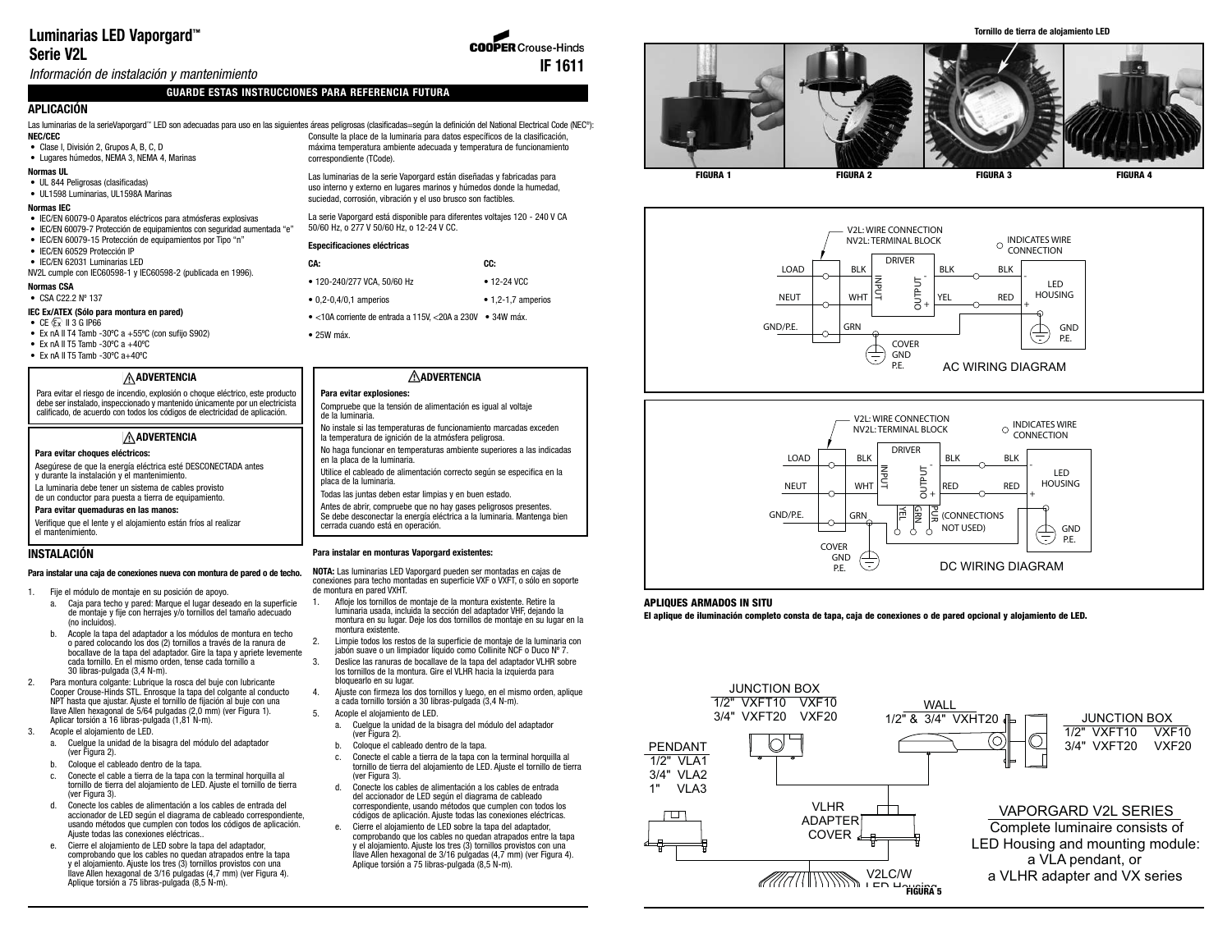# **Luminarias LED Vaporgard ™ Serie V2L**

Información de instalación y mantenimiento

## **GUARDE ESTAS INSTRUCCIONES PARA REFERENCIA FUTURA**

# **APLICACIÓN**

**NEC/CEC** Las luminarias de la serieVaporgard™ LED son adecuadas para uso en las siguientes áreas peligrosas (clasificadas=según la definición del National Electrical Code (NEC®):

## • Clase I, División 2, Grupos A, B, C, D

- Lugares húmedos, NEMA 3, NEMA 4, Marinas **Normas UL**
- 
- UL 844 Peligrosas (clasificadas) • UL1598 Luminarias, UL1598A Marinas

#### **Normas IEC**

- IEC/EN 60079-0 Aparatos eléctricos para atmósferas explosivas
- IEC/EN 60079-7 Protección de equipamientos con seguridad aumentada "e"
- IEC/EN 60079-15 Protección de equipamientos por Tipo "n" • IEC/EN 60529 Protección IP
- 
- IEC/EN 62031 Luminarias LED NV2L cumple con IEC60598-1 y IEC60598-2 (publicada en 1996).
- **Normas CSA**

# • CSA C22.2 Nº 137

- **IEC Ex/ATEX (Sólo para montura en pared)**
- $\bullet$  CE  $\overline{\mathbb{C}}$  II 3 G IP66
- Ex nA II T4 Tamb -30°C a  $+55$ °C (con sufijo S902)
- Ex nA II T5 Tamb -30 $^{\circ}$ C a +40 $^{\circ}$ C
- Ex nA II T5 Tamb -30ºC a+40ºC

#### **ADVERTENCIA**

Para evitar el riesgo de incendio, explosión o choque eléctrico, este producto debe ser instalado, inspeccionado y mantenido únicamente por un electricista calificado, de acuerdo con todos los códigos de electricidad de aplicación.

## **ADVERTENCIA**

#### **Para evitar choques eléctricos:**

Asegúrese de que la energía eléctrica esté DESCONECTADA antes y durante la instalación y el mantenimiento.

La luminaria debe tener un sistema de cables provisto

de un conductor para puesta a tierra de equipamiento. **Para evitar quemaduras en las manos:**

Verifique que el lente y el alojamiento están fríos al realizar el mantenimiento.

#### **INSTALACIÓN**

#### **Para instalar una caja de conexiones nueva con montura de pared o de techo.**

- 1. Fije el módulo de montaje en su posición de apoyo.
	- a. Caja para techo y pared: Marque el lugar deseado en la superficie de montaje y fije con herrajes y/o tornillos del tamaño adecuado (no incluidos).
	- b. Acople la tapa del adaptador a los módulos de montura en techo o pared colocando los dos (2) tornillos a través de la ranura de bocallave de la tapa del adaptador. Gire la tapa y apriete levemente cada tornillo. En el mismo orden, tense cada tornillo a 30 libras-pulgada (3,4 N-m).
- 2. Para montura colgante: Lubrique la rosca del buje con lubricante Cooper Crouse-Hinds STL. Enrosque la tapa del colgante al conducto NPT hasta que ajustar. Ajuste el tornillo de fijación al buje con una llave Allen hexagonal de 5/64 pulgadas (2,0 mm) (ver Figura 1). Aplicar torsión a 16 libras-pulgada (1,81 N-m).
- 3. Acople el alojamiento de LED.
	- a. Cuelgue la unidad de la bisagra del módulo del adaptador (ver Figura 2).
	- b. Coloque el cableado dentro de la tapa.
	- c. Conecte el cable a tierra de la tapa con la terminal horquilla al tornillo de tierra del alojamiento de LED. Ajuste el tornillo de tierra (ver Figura 3).
	- d. Conecte los cables de alimentación a los cables de entrada del accionador de LED según el diagrama de cableado correspondiente, usando métodos que cumplen con todos los códigos de aplicación. Ajuste todas las conexiones eléctricas..
	- e. Cierre el alojamiento de LED sobre la tapa del adaptador, comprobando que los cables no quedan atrapados entre la tapa y el alojamiento. Ajuste los tres (3) tornillos provistos con una llave Allen hexagonal de 3/16 pulgadas (4,7 mm) (ver Figura 4). Aplique torsión a 75 libras-pulgada (8,5 N-m).

Consulte la place de la luminaria para datos específicos de la clasificación, máxima temperatura ambiente adecuada y temperatura de funcionamiento correspondiente (TCode).

Las luminarias de la serie Vaporgard están diseñadas y fabricadas para uso interno y externo en lugares marinos y húmedos donde la humedad, suciedad, corrosión, vibración y el uso brusco son factibles.

La serie Vaporgard está disponible para diferentes voltajes 120 - 240 V CA 50/60 Hz, o 277 V 50/60 Hz, o 12-24 V CC.

#### **Especificaciones eléctricas**

| CA:                                                        | CC:                        |
|------------------------------------------------------------|----------------------------|
| • 120-240/277 VCA. 50/60 Hz                                | $• 12 - 24$ VCC            |
| $\bullet$ 0,2-0,4/0,1 amperios                             | $\bullet$ 1.2-1.7 amperios |
| • <10A corriente de entrada a 115V. <20A a 230V • 34W máx. |                            |

• 25W máx.

## **ADVERTENCIA**

- **Para evitar explosiones:**  Compruebe que la tensión de alimentación es igual al voltaje de la luminaria.
- No instale si las temperaturas de funcionamiento marcadas exceden
- la temperatura de ignición de la atmósfera peligrosa. No haga funcionar en temperaturas ambiente superiores a las indicadas en la placa de la luminaria.
- Utilice el cableado de alimentación correcto según se especifica en la placa de la luminaria.
- Todas las juntas deben estar limpias y en buen estado.

Antes de abrir, compruebe que no hay gases peligrosos presentes. Se debe desconectar la energía eléctrica a la luminaria. Mantenga bien cerrada cuando está en operación.

## **Para instalar en monturas Vaporgard existentes:**

**NOTA:** Las luminarias LED Vaporgard pueden ser montadas en cajas de conexiones para techo montadas en superficie VXF o VXFT, o sólo en soporte de montura en pared VXHT.

- Afloje los tornillos de montaje de la montura existente. Retire la luminaria usada, incluida la sección del adaptador VHF, dejando la montura en su lugar. Deje los dos tornillos de montaje en su lugar en la montura existente.
- 2. Limpie todos los restos de la superficie de montaje de la luminaria con jabón suave o un limpiador líquido como Collinite NCF o Duco Nº 7.
- 3. Deslice las ranuras de bocallave de la tapa del adaptador VLHR sobre los tornillos de la montura. Gire el VLHR hacia la izquierda para bloquearlo en su lugar.
- 4. Ajuste con firmeza los dos tornillos y luego, en el mismo orden, aplique a cada tornillo torsión a 30 libras-pulgada (3,4 N-m).
- 5. Acople el alojamiento de LED.
- a. Cuelgue la unidad de la bisagra del módulo del adaptador (ver Figura 2).
- b. Coloque el cableado dentro de la tapa.
- c. Conecte el cable a tierra de la tapa con la terminal horquilla al tornillo de tierra del alojamiento de LED. Ajuste el tornillo de tierra (ver Figura 3).
- d. Conecte los cables de alimentación a los cables de entrada del accionador de LED según el diagrama de cableado correspondiente, usando métodos que cumplen con todos los códigos de aplicación. Ajuste todas las conexiones eléctricas. e. Cierre el alojamiento de LED sobre la tapa del adaptador,
- comprobando que los cables no quedan atrapados entre la tapa y el alojamiento. Ajuste los tres (3) tornillos provistos con una llave Allen hexagonal de 3/16 pulgadas (4,7 mm) (ver Figura 4). Aplique torsión a 75 libras-pulgada (8,5 N-m).







#### **APLIQUES ARMADOS IN SITU**

**El aplique de iluminación completo consta de tapa, caja de conexiones o de pared opcional y alojamiento de LED.**



#### **Tornillo de tierra de alojamiento LED**